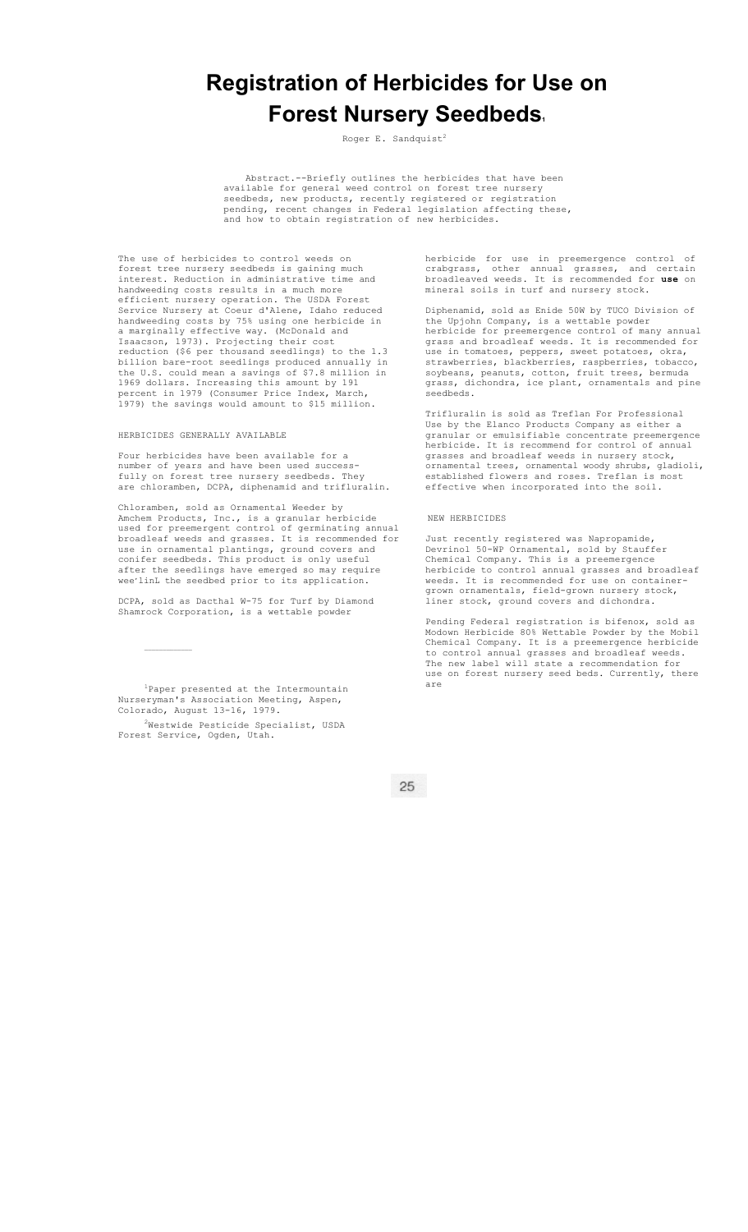# **Registration of Herbicides for Use on Forest Nursery Seedbeds.**

Roger E. Sandquist<sup>2</sup>

Abstract.--Briefly outlines the herbicides that have been<br>available for general weed control on forest tree nursery weed control on forest tree nursery seedbeds, new products, recently registered or registration pending, recent changes in Federal legislation affecting these, and how to obtain registration of new herbicides.

The use of herbicides to control weeds on forest tree nursery seedbeds is gaining much interest. Reduction in administrative time and handweeding costs results in a much more efficient nursery operation. The USDA Forest Service Nursery at Coeur d'Alene, Idaho reduced handweeding costs by 75% using one herbicide in a marginally effective way. (McDonald and Isaacson, 1973). Projecting their cost reduction (\$6 per thousand seedlings) to the 1.3 billion bare-root seedlings produced annually in the U.S. could mean a savings of \$7.8 million in 1969 dollars. Increasing this amount by 191 percent in 1979 (Consumer Price Index, March, 1979) the savings would amount to \$15 million.

HERBICIDES GENERALLY AVAILABLE

Four herbicides have been available for a number of years and have been used successfully on forest tree nursery seedbeds. They are chloramben, DCPA, diphenamid and trifluralin.

Chloramben, sold as Ornamental Weeder by Amchem Products, Inc., is a granular herbicide used for preemergent control of germinating annual broadleaf weeds and grasses. It is recommended for use in ornamental plantings, ground covers and conifer seedbeds. This product is only useful after the seedlings have emerged so may require wee'linL the seedbed prior to its application.

DCPA, sold as Dacthal W-75 for Turf by Diamond Shamrock Corporation, is a wettable powder

1 Paper presented at the Intermountain Nurseryman's Association Meeting, Aspen, Colorado, August 13-16, 1979.

 $2$ Westwide Pesticide Specialist, USDA Forest Service, Ogden, Utah.

herbicide for use in preemergence control of crabgrass, other annual grasses, and certain broadleaved weeds. It is recommended for **use** on mineral soils in turf and nursery stock.

Diphenamid, sold as Enide 50W by TUCO Division of the Upjohn Company, is a wettable powder herbicide for preemergence control of many annual grass and broadleaf weeds. It is recommended for use in tomatoes, peppers, sweet potatoes, okra, strawberries, blackberries, raspberries, tobacco, soybeans, peanuts, cotton, fruit trees, bermuda grass, dichondra, ice plant, ornamentals and pine .<br>seedbeds.

Trifluralin is sold as Treflan For Professional Use by the Elanco Products Company as either a granular or emulsifiable concentrate preemergence herbicide. It is recommend for control of annual grasses and broadleaf weeds in nursery stock, ornamental trees, ornamental woody shrubs, gladioli, established flowers and roses. Treflan is most effective when incorporated into the soil.

## NEW HERBICIDES

Just recently registered was Napropamide, Devrinol 50-WP Ornamental, sold by Stauffer Chemical Company. This is a preemergence herbicide to control annual grasses and broadleaf weeds. It is recommended for use on containergrown ornamentals, field-grown nursery stock, liner stock, ground covers and dichondra.

Pending Federal registration is bifenox, sold as Modown Herbicide 80% Wettable Powder by the Mobil Chemical Company. It is a preemergence herbicide to control annual grasses and broadleaf weeds. The new label will state a recommendation for use on forest nursery seed beds. Currently, there are

 $25$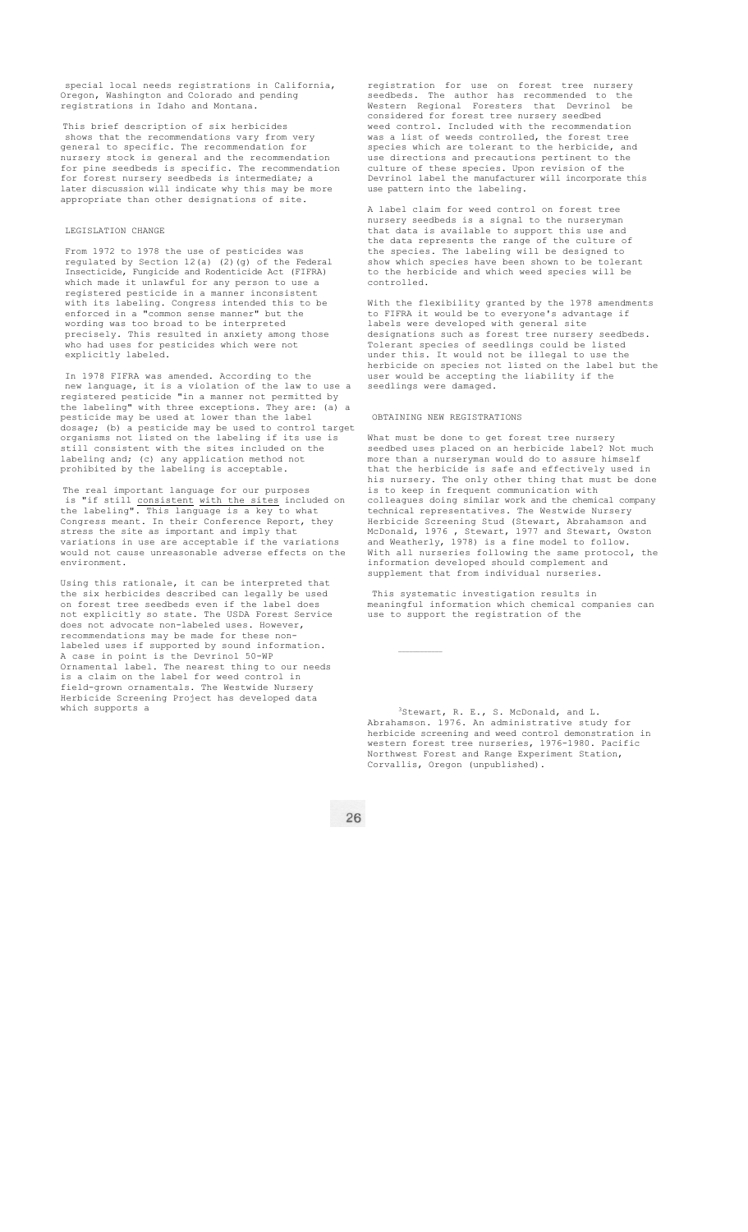special local needs registrations in California, Oregon, Washington and Colorado and pending registrations in Idaho and Montana.

This brief description of six herbicides shows that the recommendations vary from very general to specific. The recommendation for nursery stock is general and the recommendation for pine seedbeds is specific. The recommendation for forest nursery seedbeds is intermediate; a later discussion will indicate why this may be more appropriate than other designations of site.

# LEGISLATION CHANGE

From 1972 to 1978 the use of pesticides was regulated by Section  $12(a) (2)(g)$  of the Federal Insecticide, Fungicide and Rodenticide Act (FIFRA) which made it unlawful for any person to use a registered pesticide in a manner inconsistent with its labeling. Congress intended this to be enforced in a "common sense manner" but the wording was too broad to be interpreted precisely. This resulted in anxiety among those who had uses for pesticides which were not explicitly labeled.

In 1978 FIFRA was amended. According to the new language, it is a violation of the law to use a registered pesticide "in a manner not permitted by the labeling" with three exceptions. They are: (a) a the labeling" with three exceptions. They are<br>pesticide may be used at lower than the label dosage; (b) a pesticide may be used to control target organisms not listed on the labeling if its use is still consistent with the sites included on the labeling and; (c) any application method not prohibited by the labeling is acceptable.

The real important language for our purposes<br>is "if still consistent with the sites included on is "if still consistent with the sites included on the labeling". This language is a key to what Congress meant. In their Conference Report, they stress the site as important and imply that variations in use are acceptable if the variations would not cause unreasonable adverse effects on the environment.

Using this rationale, it can be interpreted that the six herbicides described can legally be used on forest tree seedbeds even if the label does not explicitly so state. The USDA Forest Service does not advocate non-labeled uses. However, recommendations may be made for these nonlabeled uses if supported by sound information. A case in point is the Devrinol 50-WP A case in point is the Devrinol 50-WP<br>Ornamental label. The nearest thing to our needs is a claim on the label for weed control in field-grown ornamentals. The Westwide Nursery Herbicide Screening Project has developed data which supports a

registration for use on forest tree nursery seedbeds. The author has recommended to the Western Regional Foresters that Devrinol be considered for forest tree nursery seedbed weed control. Included with the recommendation was a list of weeds controlled, the forest tree species which are tolerant to the herbicide, and use directions and precautions pertinent to the culture of these species. Upon revision of the Devrinol label the manufacturer will incorporate this use pattern into the labeling.

A label claim for weed control on forest tree nursery seedbeds is a signal to the nurseryman that data is available to support this use and the data represents the range of the culture of the species. The labeling will be designed to show which species have been shown to be tolerant to the herbicide and which weed species will be controlled.

With the flexibility granted by the 1978 amendments to FIFRA it would be to everyone's advantage if labels were developed with general site designations such as forest tree nursery seedbeds. Tolerant species of seedlings could be listed under this. It would not be illegal to use the herbicide on species not listed on the label but the user would be accepting the liability if the seedlings were damaged.

#### OBTAINING NEW REGISTRATIONS

 $\mathcal{L}_\text{max}$ 

What must be done to get forest tree nursery seedbed uses placed on an herbicide label? Not much more than a nurseryman would do to assure himself that the herbicide is safe and effectively used in his nursery. The only other thing that must be done is to keep in frequent communication with colleagues doing similar work and the chemical company technical representatives. The Westwide Nursery Herbicide Screening Stud (Stewart, Abrahamson and McDonald, 1976 , Stewart, 1977 and Stewart, Owston and Weatherly, 1978) is a fine model to follow. With all nurseries following the same protocol, the information developed should complement and supplement that from individual nurseries.

This systematic investigation results in meaningful information which chemical companies can use to support the registration of the

3Stewart, R. E., S. McDonald, and L. Abrahamson. 1976. An administrative study for herbicide screening and weed control demonstration in western forest tree nurseries, 1976-1980. Pacific Northwest Forest and Range Experiment Station, Corvallis, Oregon (unpublished).

26